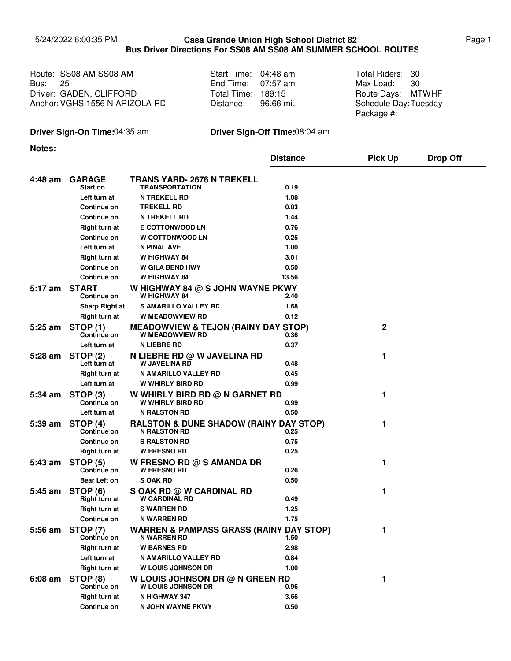## 5/24/2022 6:00:35 PM Page 1 **Casa Grande Union High School District 82 Bus Driver Directions For SS08 AM SS08 AM SUMMER SCHOOL ROUTES**

|                | Route: SS08 AM SS08 AM         | Start Time: 04:48 am | Total Riders: 30      |  |
|----------------|--------------------------------|----------------------|-----------------------|--|
| <b>Bus: 25</b> |                                | End Time: $07:57$ am | Max Load: 30          |  |
|                | Driver: GADEN, CLIFFORD        | Total Time 189:15    | Route Days: MTWHF     |  |
|                | Anchor: VGHS 1556 N ARIZOLA RD | Distance: 96.66 mi.  | Schedule Day: Tuesday |  |

| Start Time: | 04:48 am    |
|-------------|-------------|
| End Time:   | 07:57 am    |
| Total Time∶ | 189:15      |
| Distance:   | $96.66$ mi. |

Max Load: 30 Schedule Day: Tuesday Package #:

## **Driver Sign-On Time:**04:35 am **Driver Sign-Off Time:**08:04 am

**Notes:**

|           |                                       |                                                                          | <b>Distance</b> | <b>Pick Up</b> | <b>Drop Off</b> |
|-----------|---------------------------------------|--------------------------------------------------------------------------|-----------------|----------------|-----------------|
| 4:48 am   | <b>GARAGE</b><br>Start on             | <b>TRANS YARD- 2676 N TREKELL</b><br><b>TRANSPORTATION</b>               | 0.19            |                |                 |
|           | Left turn at                          | <b>N TREKELL RD</b>                                                      | 1.08            |                |                 |
|           | Continue on                           | <b>TREKELL RD</b>                                                        | 0.03            |                |                 |
|           | Continue on                           | <b>N TREKELL RD</b>                                                      | 1.44            |                |                 |
|           | <b>Right turn at</b>                  | <b>E COTTONWOOD LN</b>                                                   | 0.76            |                |                 |
|           | Continue on                           | <b>W COTTONWOOD LN</b>                                                   | 0.25            |                |                 |
|           | Left turn at                          | N PINAL AVE                                                              | 1.00            |                |                 |
|           | <b>Right turn at</b>                  | W HIGHWAY 84                                                             | 3.01            |                |                 |
|           | Continue on                           | <b>W GILA BEND HWY</b>                                                   | 0.50            |                |                 |
|           | <b>Continue on</b>                    | W HIGHWAY 84                                                             | 13.56           |                |                 |
| 5:17 am   | <b>START</b><br><b>Continue on</b>    | W HIGHWAY 84 @ S JOHN WAYNE PKWY<br><b>W HIGHWAY 84</b>                  | 2.40            |                |                 |
|           | <b>Sharp Right at</b>                 | <b>S AMARILLO VALLEY RD</b>                                              | 1.68            |                |                 |
|           | <b>Right turn at</b>                  | <b>W MEADOWVIEW RD</b>                                                   | 0.12            |                |                 |
| $5:25$ am | <b>STOP (1)</b><br><b>Continue on</b> | <b>MEADOWVIEW &amp; TEJON (RAINY DAY STOP)</b><br><b>W MEADOWVIEW RD</b> | 0.36            | 2              |                 |
|           | Left turn at                          | <b>N LIEBRE RD</b>                                                       | 0.37            |                |                 |
| $5:28$ am | <b>STOP (2)</b><br>Left turn at       | N LIEBRE RD @ W JAVELINA RD<br><b>W JAVELINA RD</b>                      | 0.48            | 1              |                 |
|           | Right turn at                         | N AMARILLO VALLEY RD                                                     | 0.45            |                |                 |
|           | Left turn at                          | <b>W WHIRLY BIRD RD</b>                                                  | 0.99            |                |                 |
| $5:34$ am | STOP <sub>(3)</sub><br>Continue on    | W WHIRLY BIRD RD $@$ N GARNET RD<br><b>W WHIRLY BIRD RD</b>              | 0.99            | 1              |                 |
|           | Left turn at                          | <b>N RALSTON RD</b>                                                      | 0.50            |                |                 |
| $5:39$ am | STOP (4)<br><b>Continue on</b>        | <b>RALSTON &amp; DUNE SHADOW (RAINY DAY STOP)</b><br><b>N RALSTON RD</b> | 0.25            | 1              |                 |
|           | <b>Continue on</b>                    | <b>S RALSTON RD</b>                                                      | 0.75            |                |                 |
|           | Right turn at                         | <b>W FRESNO RD</b>                                                       | 0.25            |                |                 |
| 5:43 am   | <b>STOP (5)</b><br><b>Continue on</b> | W FRESNO RD $@$ S AMANDA DR<br><b>W FRESNO RD</b>                        | 0.26            | 1              |                 |
|           | Bear Left on                          | <b>SOAK RD</b>                                                           | 0.50            |                |                 |
| 5:45 am   | STOP (6)<br>Right turn at             | S OAK RD @ W CARDINAL RD<br><b>W CARDINAL RD</b>                         | 0.49            | 1              |                 |
|           | Right turn at                         | <b>S WARREN RD</b>                                                       | 1.25            |                |                 |
|           | <b>Continue on</b>                    | N WARREN RD                                                              | 1.75            |                |                 |
|           | 5:56 am STOP (7)<br>Continue on       | <b>WARREN &amp; PAMPASS GRASS (RAINY DAY STOP)</b><br>N WARREN RD        | 1.50            | 1              |                 |
|           | <b>Right turn at</b>                  | <b>W BARNES RD</b>                                                       | 2.98            |                |                 |
|           | Left turn at                          | N AMARILLO VALLEY RD                                                     | 0.84            |                |                 |
|           | <b>Right turn at</b>                  | <b>W LOUIS JOHNSON DR</b>                                                | 1.00            |                |                 |
| $6:08$ am | STOP (8)<br>Continue on               | W LOUIS JOHNSON DR @ N GREEN RD<br>W LOUIS JOHNSON DR                    | 0.96            | 1              |                 |
|           | <b>Right turn at</b>                  | N HIGHWAY 347                                                            | 3.66            |                |                 |
|           | Continue on                           | N JOHN WAYNE PKWY                                                        | 0.50            |                |                 |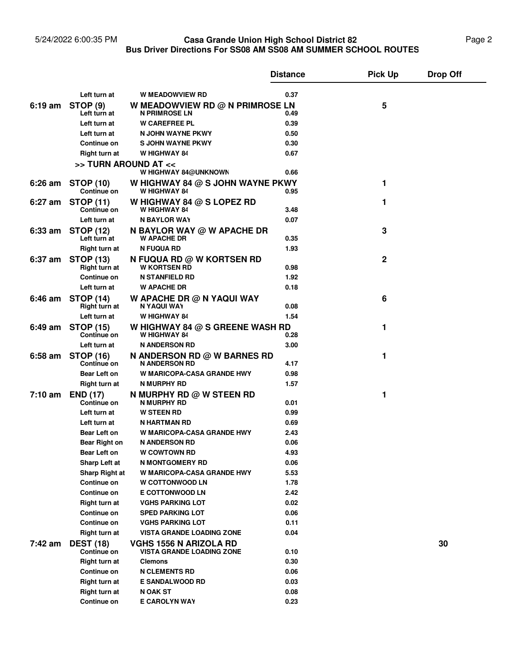## 5/24/2022 6:00:35 PM **Casa Grande Union High School District 82** Page 2 **Bus Driver Directions For SS08 AM SS08 AM SUMMER SCHOOL ROUTES Casa Grande Union High School District 82**

|                   |                                        |                                                                   | <b>Distance</b> | <b>Pick Up</b> | <b>Drop Off</b> |
|-------------------|----------------------------------------|-------------------------------------------------------------------|-----------------|----------------|-----------------|
|                   | Left turn at                           | <b>W MEADOWVIEW RD</b>                                            | 0.37            |                |                 |
| $6:19$ am         | <b>STOP (9)</b>                        | W MEADOWVIEW RD @ N PRIMROSE LN                                   |                 | 5              |                 |
|                   | Left turn at                           | <b>N PRIMROSE LN</b>                                              | 0.49            |                |                 |
|                   | Left turn at                           | <b>W CAREFREE PL</b>                                              | 0.39            |                |                 |
|                   | Left turn at                           | N JOHN WAYNE PKWY                                                 | 0.50            |                |                 |
|                   | <b>Continue on</b>                     | S JOHN WAYNE PKWY                                                 | 0.30            |                |                 |
|                   | Right turn at                          | W HIGHWAY 84                                                      | 0.67            |                |                 |
|                   | >> TURN AROUND AT <<                   |                                                                   |                 |                |                 |
|                   |                                        | W HIGHWAY 84@UNKNOWN                                              | 0.66            |                |                 |
| $6:26$ am         | <b>STOP (10)</b><br><b>Continue on</b> | W HIGHWAY 84 $@$ S JOHN WAYNE PKWY<br>W HIGHWAY 84                | 0.95            | 1              |                 |
| $6:27$ am         | <b>STOP (11)</b>                       | W HIGHWAY 84 @ S LOPEZ RD<br>W HIGHWAY 84                         |                 | 1              |                 |
|                   | <b>Continue on</b><br>Left turn at     | N BAYLOR WAY                                                      | 3.48<br>0.07    |                |                 |
|                   |                                        |                                                                   |                 |                |                 |
| $6:33$ am         | <b>STOP (12)</b><br>Left turn at       | N BAYLOR WAY @ W APACHE DR<br><b>W APACHE DR</b>                  | 0.35            | 3              |                 |
|                   | Right turn at                          | <b>N FUQUA RD</b>                                                 | 1.93            |                |                 |
| 6:37 am           | <b>STOP (13)</b>                       | <b>N FUQUA RD @ W KORTSEN RD</b>                                  |                 | 2              |                 |
|                   | Right turn at                          | <b>W KORTSEN RD</b>                                               | 0.98            |                |                 |
|                   | <b>Continue on</b>                     | <b>N STANFIELD RD</b>                                             | 1.92            |                |                 |
|                   | Left turn at                           | <b>W APACHE DR</b>                                                | 0.18            |                |                 |
| $6:46$ am         | <b>STOP (14)</b><br>Right turn at      | W APACHE DR $@$ N YAQUI WAY<br>N YAQUI WAY                        | 0.08            | 6              |                 |
|                   | Left turn at                           | <b>W HIGHWAY 84</b>                                               | 1.54            |                |                 |
| 6:49 am           | <b>STOP (15)</b><br><b>Continue on</b> | W HIGHWAY 84 $@$ S GREENE WASH RD<br>W HIGHWAY 84                 | 0.28            | 1              |                 |
|                   | Left turn at                           | <b>N ANDERSON RD</b>                                              | 3.00            |                |                 |
| $6:58$ am         | <b>STOP (16)</b>                       | <b>N ANDERSON RD @ W BARNES RD</b>                                |                 | 1              |                 |
|                   | <b>Continue on</b>                     | <b>N ANDERSON RD</b>                                              | 4.17            |                |                 |
|                   | <b>Bear Left on</b>                    | <b>W MARICOPA-CASA GRANDE HWY</b>                                 | 0.98            |                |                 |
|                   | <b>Right turn at</b>                   | N MURPHY RD                                                       | 1.57            |                |                 |
| $7:10 \text{ am}$ | <b>END (17)</b><br><b>Continue on</b>  | N MURPHY RD @ W STEEN RD<br>N MURPHY RD                           | 0.01            | 1              |                 |
|                   | Left turn at                           | <b>W STEEN RD</b>                                                 | 0.99            |                |                 |
|                   | Left turn at                           | N HARTMAN RD                                                      | 0.69            |                |                 |
|                   | <b>Bear Left on</b>                    | <b>W MARICOPA-CASA GRANDE HWY</b>                                 | 2.43            |                |                 |
|                   | Bear Right on                          | <b>N ANDERSON RD</b>                                              | 0.06            |                |                 |
|                   | Bear Left on                           | <b>W COWTOWN RD</b>                                               | 4.93            |                |                 |
|                   | <b>Sharp Left at</b>                   | <b>N MONTGOMERY RD</b>                                            | 0.06            |                |                 |
|                   | Sharp Right at                         | <b>W MARICOPA-CASA GRANDE HWY</b>                                 | 5.53            |                |                 |
|                   | Continue on                            | <b>W COTTONWOOD LN</b>                                            | 1.78            |                |                 |
|                   | <b>Continue on</b>                     | <b>E COTTONWOOD LN</b>                                            | 2.42            |                |                 |
|                   | <b>Right turn at</b>                   | <b>VGHS PARKING LOT</b>                                           | 0.02            |                |                 |
|                   | <b>Continue on</b>                     | <b>SPED PARKING LOT</b>                                           | 0.06            |                |                 |
|                   | <b>Continue on</b>                     | <b>VGHS PARKING LOT</b>                                           | 0.11            |                |                 |
|                   | Right turn at                          | <b>VISTA GRANDE LOADING ZONE</b>                                  | 0.04            |                |                 |
| 7:42 am           | <b>DEST (18)</b><br><b>Continue on</b> | <b>VGHS 1556 N ARIZOLA RD</b><br><b>VISTA GRANDE LOADING ZONE</b> | 0.10            |                | 30              |
|                   | <b>Right turn at</b>                   | <b>Clemons</b>                                                    | 0.30            |                |                 |
|                   | <b>Continue on</b>                     | <b>N CLEMENTS RD</b>                                              | 0.06            |                |                 |
|                   | <b>Right turn at</b>                   | <b>E SANDALWOOD RD</b>                                            | 0.03            |                |                 |
|                   | <b>Right turn at</b>                   | N OAK ST                                                          | 0.08            |                |                 |
|                   | <b>Continue on</b>                     | E CAROLYN WAY                                                     | 0.23            |                |                 |